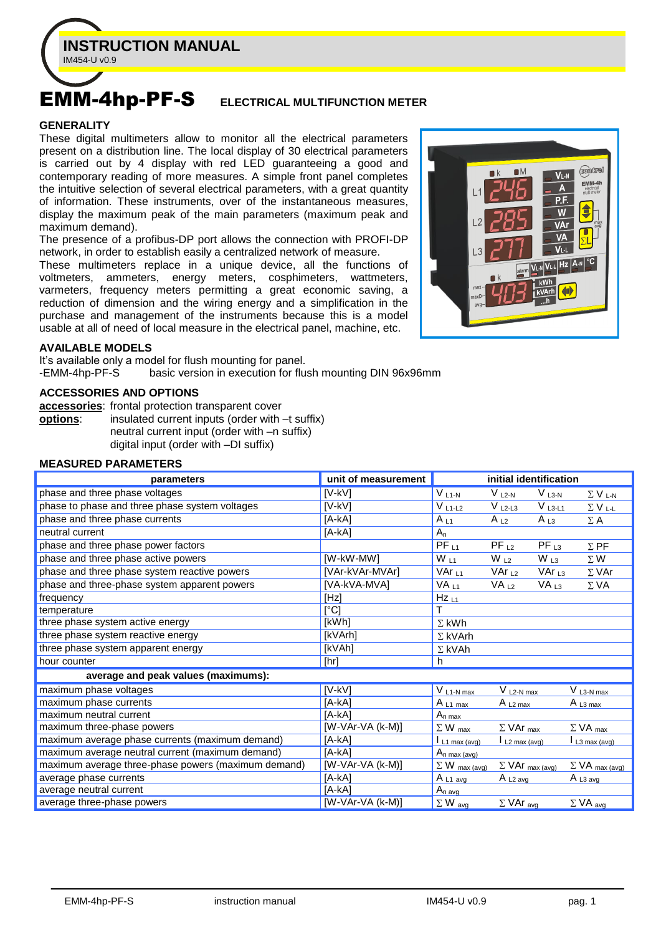

# EMM-4hp-PF-S **ELECTRICAL MULTIFUNCTION METER**

#### **GENERALITY**

These digital multimeters allow to monitor all the electrical parameters present on a distribution line. The local display of 30 electrical parameters is carried out by 4 display with red LED guaranteeing a good and contemporary reading of more measures. A simple front panel completes the intuitive selection of several electrical parameters, with a great quantity of information. These instruments, over of the instantaneous measures, display the maximum peak of the main parameters (maximum peak and maximum demand).

The presence of a profibus-DP port allows the connection with PROFI-DP network, in order to establish easily a centralized network of measure.

These multimeters replace in a unique device, all the functions of voltmeters, ammeters, energy meters, cosphimeters, wattmeters, varmeters, frequency meters permitting a great economic saving, a reduction of dimension and the wiring energy and a simplification in the purchase and management of the instruments because this is a model usable at all of need of local measure in the electrical panel, machine, etc.



#### **AVAILABLE MODELS**

It's available only a model for flush mounting for panel.<br>-EMM-4hp-PF-S basic version in execution for flus basic version in execution for flush mounting DIN 96x96mm

#### **ACCESSORIES AND OPTIONS**

**accessories**: frontal protection transparent cover **options**: insulated current inputs (order with  $-t$  suffix) neutral current input (order with –n suffix) digital input (order with –DI suffix)

#### **MEASURED PARAMETERS**

| parameters                                          | unit of measurement           | initial identification     |                                       |                   |                                       |
|-----------------------------------------------------|-------------------------------|----------------------------|---------------------------------------|-------------------|---------------------------------------|
| phase and three phase voltages                      | $[V-KV]$                      | $V_{L1-N}$                 | $V_{L2-N}$                            | $V_{L3-N}$        | $\Sigma$ V <sub>L-N</sub>             |
| phase to phase and three phase system voltages      | $[V-KV]$                      | $V L1-L2$                  | $VL2-L3$                              | $V_{L3-L1}$       | $\Sigma$ V <sub>L-L</sub>             |
| phase and three phase currents                      | $[A - kA]$                    | $A_{L1}$                   | $A_{L2}$                              | $A_{L3}$          | $\Sigma$ A                            |
| neutral current                                     | $[A-kA]$                      | $A_n$                      |                                       |                   |                                       |
| phase and three phase power factors                 |                               | $PF_{L1}$                  | $PF_{L2}$                             | $PF_{L3}$         | $\Sigma$ PF                           |
| phase and three phase active powers                 | [W-kW-MW]                     | $W_{L1}$                   | $W_{L2}$                              | $W_{L3}$          | $\Sigma$ W                            |
| phase and three phase system reactive powers        | [VAr-kVAr-MVAr]               | $VAr_{L1}$                 | VAr $L_2$                             | VAr <sub>L3</sub> | $\Sigma$ VAr                          |
| phase and three-phase system apparent powers        | [VA-kVA-MVA]                  | VA <sub>L1</sub>           | VA <sub>L2</sub>                      | VA <sub>L3</sub>  | $\Sigma$ VA                           |
| frequency                                           | [Hz]                          | $Hz$ <sub>L1</sub>         |                                       |                   |                                       |
| temperature                                         | $\lceil{^{\circ}C}\rceil$     |                            |                                       |                   |                                       |
| three phase system active energy                    | [kWh]                         | $\Sigma$ kWh               |                                       |                   |                                       |
| three phase system reactive energy                  | [kVArh]                       | $\Sigma$ kVArh             |                                       |                   |                                       |
| three phase system apparent energy                  | [kVAh]                        | $\Sigma$ kVAh              |                                       |                   |                                       |
| hour counter                                        | [hr]                          | h                          |                                       |                   |                                       |
| average and peak values (maximums):                 |                               |                            |                                       |                   |                                       |
| maximum phase voltages                              | $[V-KV]$                      | $V_{L1-N \text{ max}}$     | $V_{L2-N max}$                        |                   | $V_{L3-N max}$                        |
| maximum phase currents                              | [A-kA]                        | $A_{L1 max}$               | $A_{L2 max}$                          |                   | $A_{L3 max}$                          |
| maximum neutral current                             | $[A-kA]$                      | $A_{\underline{n} \max}$   |                                       |                   |                                       |
| maximum three-phase powers                          | $\overline{[W-VAr-VA (k-M)]}$ | $\Sigma$ W $_{max}$        | $\Sigma$ VAr $_{max}$                 |                   | $\Sigma$ VA $_{max}$                  |
| maximum average phase currents (maximum demand)     | [A-kA]                        | $I_{L1 \text{ max (avg)}}$ | $\mathsf{L}$ L <sub>2</sub> max (avg) |                   | $\mathsf{L}$ L <sub>3</sub> max (avg) |
| maximum average neutral current (maximum demand)    | [A-kA]                        | $A_{n \max{(\text{avg})}}$ |                                       |                   |                                       |
| maximum average three-phase powers (maximum demand) | $[W-VAr-VA (k-M)]$            | $\Sigma$ W max (avg)       | $\Sigma$ VAr max (avg)                |                   | $\Sigma$ VA max (avg)                 |
| average phase currents                              | $[A-kA]$                      | $A_{L1 \text{ avg}}$       | $A_{L2 \text{ avg}}$                  |                   | $A_{L3 \text{ avg}}$                  |
| average neutral current                             | $[A-kA]$                      | $A_{n \text{ avg}}$        |                                       |                   |                                       |
| average three-phase powers                          | $[W-VAr-VA (k-M)]$            | $\Sigma$ W avg             | $\Sigma$ VAr avg                      |                   | $\Sigma$ VA avg                       |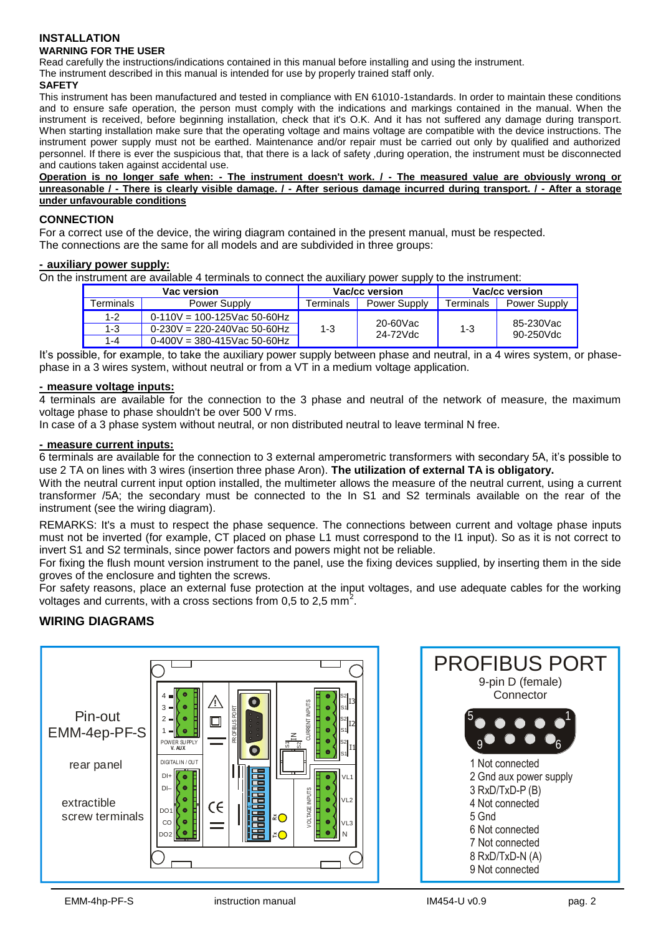# **INSTALLATION WARNING FOR THE USER**

Read carefully the instructions/indications contained in this manual before installing and using the instrument.

The instrument described in this manual is intended for use by properly trained staff only.

#### **SAFETY**

This instrument has been manufactured and tested in compliance with EN 61010-1standards. In order to maintain these conditions and to ensure safe operation, the person must comply with the indications and markings contained in the manual. When the instrument is received, before beginning installation, check that it's O.K. And it has not suffered any damage during transport. When starting installation make sure that the operating voltage and mains voltage are compatible with the device instructions. The instrument power supply must not be earthed. Maintenance and/or repair must be carried out only by qualified and authorized personnel. If there is ever the suspicious that, that there is a lack of safety ,during operation, the instrument must be disconnected and cautions taken against accidental use.

**Operation is no longer safe when: - The instrument doesn't work. / - The measured value are obviously wrong or unreasonable / - There is clearly visible damage. / - After serious damage incurred during transport. / - After a storage under unfavourable conditions**

#### **CONNECTION**

For a correct use of the device, the wiring diagram contained in the present manual, must be respected.

The connections are the same for all models and are subdivided in three groups:

#### **- auxiliary power supply:**

On the instrument are available 4 terminals to connect the auxiliary power supply to the instrument:

|                  | Vac version                    | Vac/cc version |              | Vac/cc version |              |  |
|------------------|--------------------------------|----------------|--------------|----------------|--------------|--|
| <b>Ferminals</b> | Power Supply                   | Terminals      | Power Supply | Terminals      | Power Supply |  |
| $1 - 2$          | $0-110V = 100-125$ Vac 50-60Hz |                | 20-60Vac     |                | 85-230Vac    |  |
| 1-3              | $0-230V = 220-240V$ ac 50-60Hz | $1 - 3$        | 24-72Vdc     | $1 - 3$        | 90-250Vdc    |  |
| 1-4              | $0-400V = 380-415$ Vac 50-60Hz |                |              |                |              |  |

It's possible, for example, to take the auxiliary power supply between phase and neutral, in a 4 wires system, or phasephase in a 3 wires system, without neutral or from a VT in a medium voltage application.

#### **- measure voltage inputs:**

4 terminals are available for the connection to the 3 phase and neutral of the network of measure, the maximum voltage phase to phase shouldn't be over 500 V rms.

In case of a 3 phase system without neutral, or non distributed neutral to leave terminal N free.

#### **- measure current inputs:**

6 terminals are available for the connection to 3 external amperometric transformers with secondary 5A, it's possible to use 2 TA on lines with 3 wires (insertion three phase Aron). **The utilization of external TA is obligatory.**

With the neutral current input option installed, the multimeter allows the measure of the neutral current, using a current transformer /5A; the secondary must be connected to the In S1 and S2 terminals available on the rear of the instrument (see the wiring diagram).

REMARKS: It's a must to respect the phase sequence. The connections between current and voltage phase inputs must not be inverted (for example, CT placed on phase L1 must correspond to the I1 input). So as it is not correct to invert S1 and S2 terminals, since power factors and powers might not be reliable.

For fixing the flush mount version instrument to the panel, use the fixing devices supplied, by inserting them in the side groves of the enclosure and tighten the screws.

For safety reasons, place an external fuse protection at the input voltages, and use adequate cables for the working voltages and currents, with a cross sections from 0,5 to 2,5 mm<sup>2</sup>.

# **WIRING DIAGRAMS**

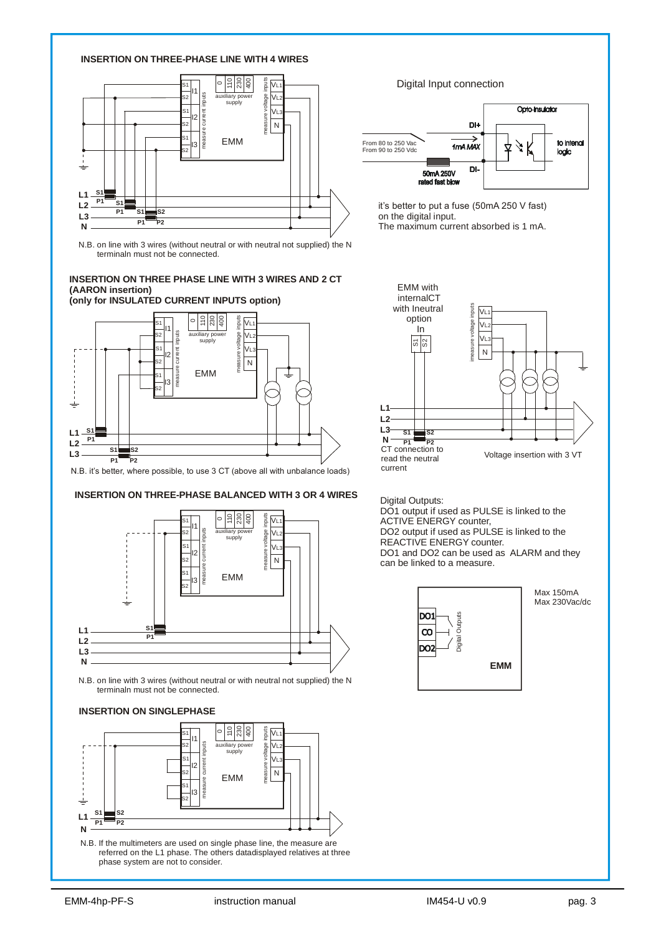

N.B. on line with 3 wires (without neutral or with neutral not supplied) the N terminaln must not be connected.

#### **INSERTION ON THREE PHASE LINE WITH 3 WIRES AND 2 CT (AARON insertion)**



N.B. it's better, where possible, to use 3 CT (above all with unbalance loads)



N.B. on line with 3 wires (without neutral or with neutral not supplied) the N terminaln must not be connected.

#### **INSERTION ON SINGLEPHASE**



N.B. If the multimeters are used on single phase line, the measure are referred on the L1 phase. The others datadisplayed relatives at three phase system are not to consider.

Digital Input connection



it's better to put a fuse (50mA 250 V fast) on the digital input. The maximum current absorbed is 1 mA.



Digital Outputs:

DO1 output if used as PULSE is linked to the ACTIVE ENERGY counter, DO2 output if used as PULSE is linked to the REACTIVE ENERGY counter. DO1 and DO2 can be used as ALARM and they can be linked to a measure.



Max 150mA Max 230Vac/dc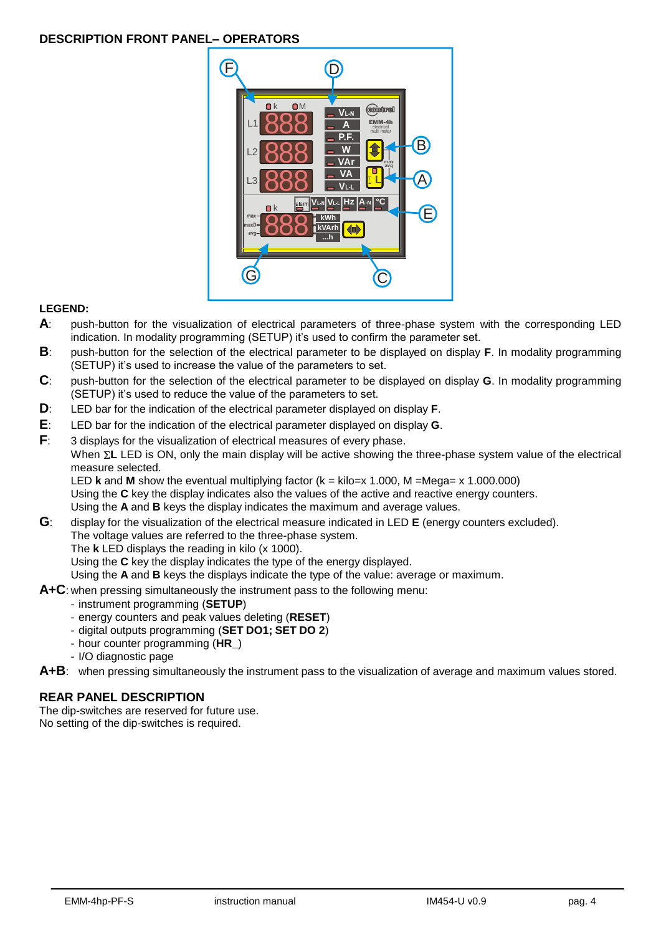# **DESCRIPTION FRONT PANEL– OPERATORS**



## **LEGEND:**

- **A**: push-button for the visualization of electrical parameters of three-phase system with the corresponding LED indication. In modality programming (SETUP) it's used to confirm the parameter set.
- **B**: push-button for the selection of the electrical parameter to be displayed on display **F**. In modality programming (SETUP) it's used to increase the value of the parameters to set.
- **C**: push-button for the selection of the electrical parameter to be displayed on display **G**. In modality programming (SETUP) it's used to reduce the value of the parameters to set.
- **D**: LED bar for the indication of the electrical parameter displayed on display **F**.
- **E**: LED bar for the indication of the electrical parameter displayed on display **G**.
- **F**: 3 displays for the visualization of electrical measures of every phase. When  $\Sigma$ **L** LED is ON, only the main display will be active showing the three-phase system value of the electrical measure selected. LED **k** and **M** show the eventual multiplying factor (k = kilo=x 1.000, M =Mega= x 1.000.000)

Using the **C** key the display indicates also the values of the active and reactive energy counters. Using the **A** and **B** keys the display indicates the maximum and average values.

- **G**: display for the visualization of the electrical measure indicated in LED **E** (energy counters excluded).
	- The voltage values are referred to the three-phase system.
		- The **k** LED displays the reading in kilo (x 1000).

Using the **C** key the display indicates the type of the energy displayed.

Using the **A** and **B** keys the displays indicate the type of the value: average or maximum.

- **A+C**: when pressing simultaneously the instrument pass to the following menu:
	- instrument programming (**SETUP**)
	- energy counters and peak values deleting (**RESET**)
	- digital outputs programming (**SET DO1; SET DO 2**)
	- hour counter programming (**HR\_**)
	- I/O diagnostic page
- **A+B**: when pressing simultaneously the instrument pass to the visualization of average and maximum values stored.

# **REAR PANEL DESCRIPTION**

The dip-switches are reserved for future use. No setting of the dip-switches is required.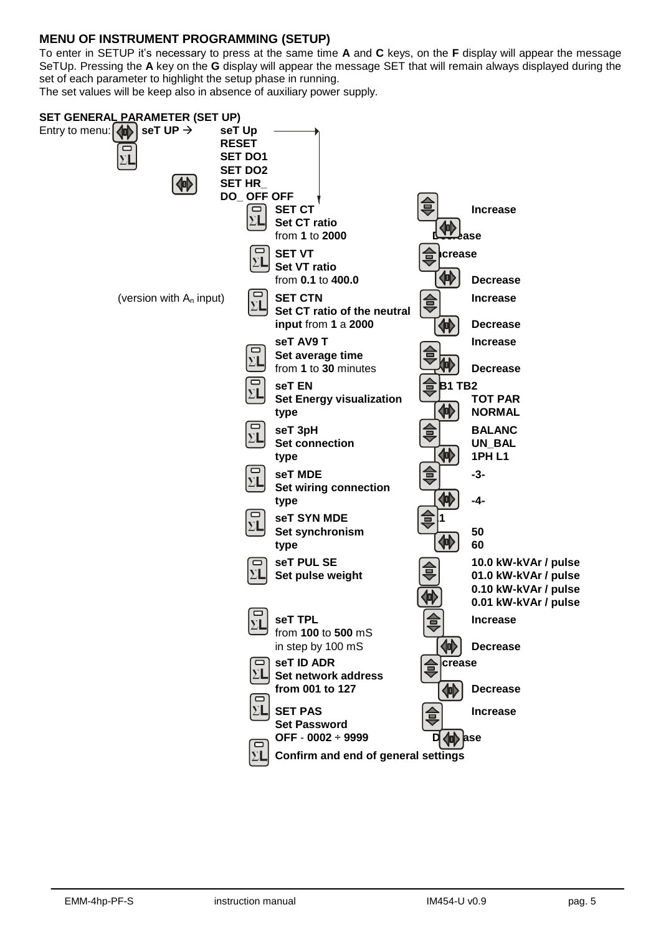# **MENU OF INSTRUMENT PROGRAMMING (SETUP)**

To enter in SETUP it's necessary to press at the same time **A** and **C** keys, on the **F** display will appear the message SeTUp. Pressing the **A** key on the **G** display will appear the message SET that will remain always displayed during the set of each parameter to highlight the setup phase in running.

The set values will be keep also in absence of auxiliary power supply.

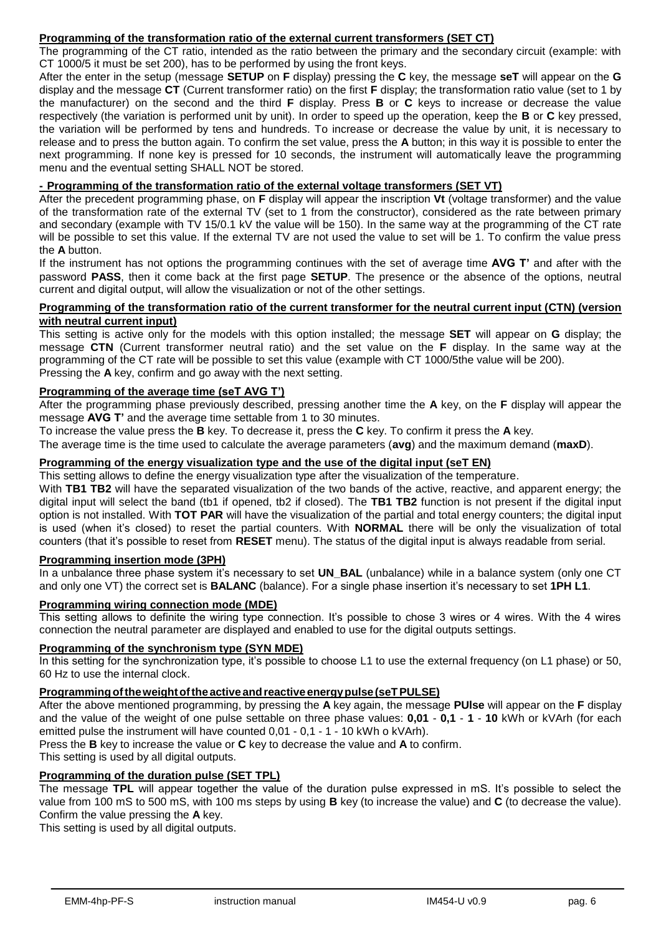# **Programming of the transformation ratio of the external current transformers (SET CT)**

The programming of the CT ratio, intended as the ratio between the primary and the secondary circuit (example: with CT 1000/5 it must be set 200), has to be performed by using the front keys.

After the enter in the setup (message **SETUP** on **F** display) pressing the **C** key, the message **seT** will appear on the **G** display and the message **CT** (Current transformer ratio) on the first **F** display; the transformation ratio value (set to 1 by the manufacturer) on the second and the third **F** display. Press **B** or **C** keys to increase or decrease the value respectively (the variation is performed unit by unit). In order to speed up the operation, keep the **B** or **C** key pressed, the variation will be performed by tens and hundreds. To increase or decrease the value by unit, it is necessary to release and to press the button again. To confirm the set value, press the **A** button; in this way it is possible to enter the next programming. If none key is pressed for 10 seconds, the instrument will automatically leave the programming menu and the eventual setting SHALL NOT be stored.

#### **- Programming of the transformation ratio of the external voltage transformers (SET VT)**

After the precedent programming phase, on **F** display will appear the inscription **Vt** (voltage transformer) and the value of the transformation rate of the external TV (set to 1 from the constructor), considered as the rate between primary and secondary (example with TV 15/0.1 kV the value will be 150). In the same way at the programming of the CT rate will be possible to set this value. If the external TV are not used the value to set will be 1. To confirm the value press the **A** button.

If the instrument has not options the programming continues with the set of average time **AVG T'** and after with the password **PASS**, then it come back at the first page **SETUP**. The presence or the absence of the options, neutral current and digital output, will allow the visualization or not of the other settings.

#### **Programming of the transformation ratio of the current transformer for the neutral current input (CTN) (version with neutral current input)**

This setting is active only for the models with this option installed; the message **SET** will appear on **G** display; the message **CTN** (Current transformer neutral ratio) and the set value on the **F** display. In the same way at the programming of the CT rate will be possible to set this value (example with CT 1000/5the value will be 200). Pressing the **A** key, confirm and go away with the next setting.

## **Programming of the average time (seT AVG T')**

After the programming phase previously described, pressing another time the **A** key, on the **F** display will appear the message **AVG T'** and the average time settable from 1 to 30 minutes.

To increase the value press the **B** key. To decrease it, press the **C** key. To confirm it press the **A** key. The average time is the time used to calculate the average parameters (**avg**) and the maximum demand (**maxD**).

## **Programming of the energy visualization type and the use of the digital input (seT EN)**

This setting allows to define the energy visualization type after the visualization of the temperature.

With TB1 TB2 will have the separated visualization of the two bands of the active, reactive, and apparent energy; the digital input will select the band (tb1 if opened, tb2 if closed). The **TB1 TB2** function is not present if the digital input option is not installed. With **TOT PAR** will have the visualization of the partial and total energy counters; the digital input is used (when it's closed) to reset the partial counters. With **NORMAL** there will be only the visualization of total counters (that it's possible to reset from **RESET** menu). The status of the digital input is always readable from serial.

#### **Programming insertion mode (3PH)**

In a unbalance three phase system it's necessary to set **UN BAL** (unbalance) while in a balance system (only one CT and only one VT) the correct set is **BALANC** (balance). For a single phase insertion it's necessary to set **1PH L1**.

#### **Programming wiring connection mode (MDE)**

This setting allows to definite the wiring type connection. It's possible to chose 3 wires or 4 wires. With the 4 wires connection the neutral parameter are displayed and enabled to use for the digital outputs settings.

#### **Programming of the synchronism type (SYN MDE)**

In this setting for the synchronization type, it's possible to choose L1 to use the external frequency (on L1 phase) or 50, 60 Hz to use the internal clock.

#### **Programmingoftheweightoftheactiveandreactiveenergypulse(seTPULSE)**

After the above mentioned programming, by pressing the **A** key again, the message **PUlse** will appear on the **F** display and the value of the weight of one pulse settable on three phase values: **0,01** - **0,1** - **1** - **10** kWh or kVArh (for each emitted pulse the instrument will have counted 0,01 - 0,1 - 1 - 10 kWh o kVArh).

Press the **B** key to increase the value or **C** key to decrease the value and **A** to confirm.

This setting is used by all digital outputs.

## **Programming of the duration pulse (SET TPL)**

The message **TPL** will appear together the value of the duration pulse expressed in mS. It's possible to select the value from 100 mS to 500 mS, with 100 ms steps by using **B** key (to increase the value) and **C** (to decrease the value). Confirm the value pressing the **A** key.

This setting is used by all digital outputs.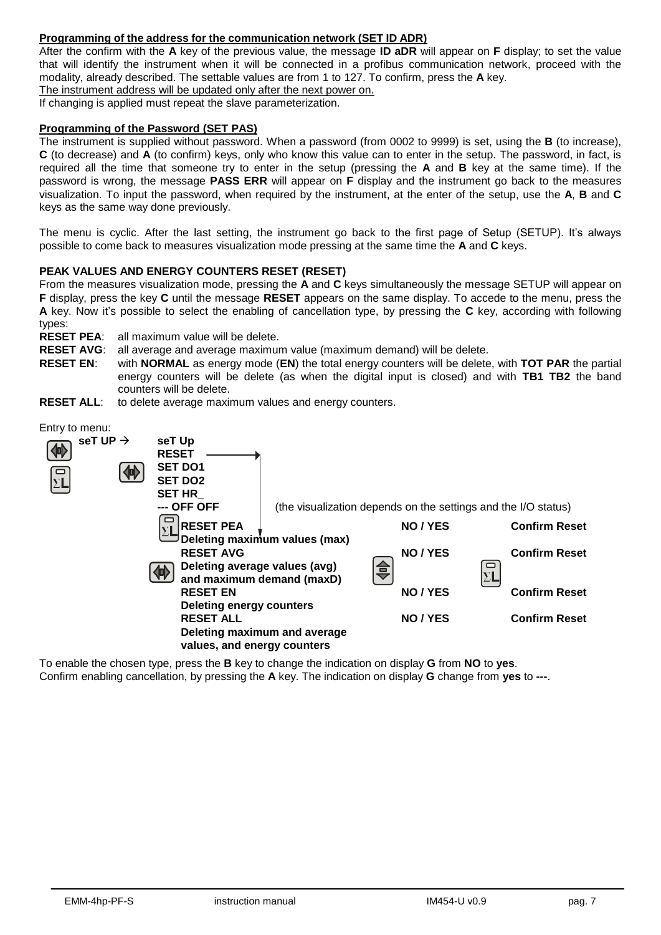# **Programming of the address for the communication network (SET ID ADR)**

After the confirm with the **A** key of the previous value, the message **ID aDR** will appear on **F** display; to set the value that will identify the instrument when it will be connected in a profibus communication network, proceed with the modality, already described. The settable values are from 1 to 127. To confirm, press the **A** key.

The instrument address will be updated only after the next power on.

If changing is applied must repeat the slave parameterization.

#### **Programming of the Password (SET PAS)**

The instrument is supplied without password. When a password (from 0002 to 9999) is set, using the **B** (to increase), **C** (to decrease) and **A** (to confirm) keys, only who know this value can to enter in the setup. The password, in fact, is required all the time that someone try to enter in the setup (pressing the **A** and **B** key at the same time). If the password is wrong, the message **PASS ERR** will appear on **F** display and the instrument go back to the measures visualization. To input the password, when required by the instrument, at the enter of the setup, use the **A**, **B** and **C** keys as the same way done previously.

The menu is cyclic. After the last setting, the instrument go back to the first page of Setup (SETUP). It's always possible to come back to measures visualization mode pressing at the same time the **A** and **C** keys.

#### **PEAK VALUES AND ENERGY COUNTERS RESET (RESET)**

From the measures visualization mode, pressing the **A** and **C** keys simultaneously the message SETUP will appear on **F** display, press the key **C** until the message **RESET** appears on the same display. To accede to the menu, press the **A** key. Now it's possible to select the enabling of cancellation type, by pressing the **C** key, according with following types:

**RESET PEA**: all maximum value will be delete.

**RESET AVG**: all average and average maximum value (maximum demand) will be delete.

**RESET EN**: with **NORMAL** as energy mode (**EN**) the total energy counters will be delete, with **TOT PAR** the partial energy counters will be delete (as when the digital input is closed) and with **TB1 TB2** the band counters will be delete.

**RESET ALL:** to delete average maximum values and energy counters.



To enable the chosen type, press the **B** key to change the indication on display **G** from **NO** to **yes**. Confirm enabling cancellation, by pressing the **A** key. The indication on display **G** change from **yes** to **---**.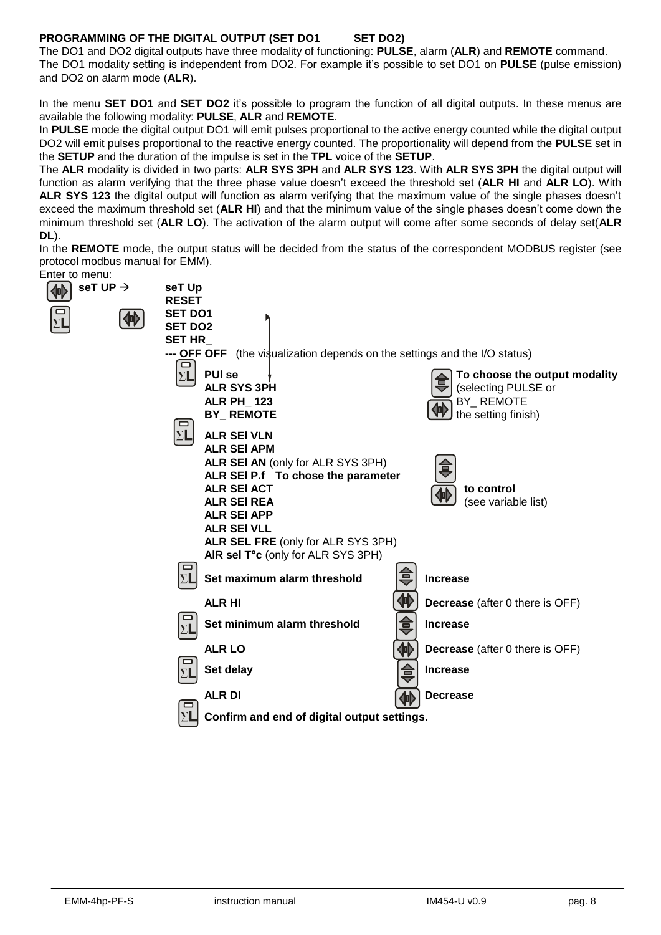# **PROGRAMMING OF THE DIGITAL OUTPUT (SET DO1 SET DO2)**

The DO1 and DO2 digital outputs have three modality of functioning: **PULSE**, alarm (**ALR**) and **REMOTE** command. The DO1 modality setting is independent from DO2. For example it's possible to set DO1 on **PULSE** (pulse emission) and DO2 on alarm mode (**ALR**).

In the menu **SET DO1** and **SET DO2** it's possible to program the function of all digital outputs. In these menus are available the following modality: **PULSE**, **ALR** and **REMOTE**.

In **PULSE** mode the digital output DO1 will emit pulses proportional to the active energy counted while the digital output DO2 will emit pulses proportional to the reactive energy counted. The proportionality will depend from the **PULSE** set in the **SETUP** and the duration of the impulse is set in the **TPL** voice of the **SETUP**.

The **ALR** modality is divided in two parts: **ALR SYS 3PH** and **ALR SYS 123**. With **ALR SYS 3PH** the digital output will function as alarm verifying that the three phase value doesn't exceed the threshold set (**ALR HI** and **ALR LO**). With **ALR SYS 123** the digital output will function as alarm verifying that the maximum value of the single phases doesn't exceed the maximum threshold set (**ALR HI**) and that the minimum value of the single phases doesn't come down the minimum threshold set (**ALR LO**). The activation of the alarm output will come after some seconds of delay set(**ALR DL**).

In the **REMOTE** mode, the output status will be decided from the status of the correspondent MODBUS register (see protocol modbus manual for EMM). Enter to menu:

| seT UP $\rightarrow$ | seT Up<br><b>RESET</b>                                                                                                                                                                                                                                                                                |                                                                                                                                                                                      |
|----------------------|-------------------------------------------------------------------------------------------------------------------------------------------------------------------------------------------------------------------------------------------------------------------------------------------------------|--------------------------------------------------------------------------------------------------------------------------------------------------------------------------------------|
| $\Box$<br>仰          | <b>SET DO1</b><br><b>SET DO2</b><br>SET HR                                                                                                                                                                                                                                                            |                                                                                                                                                                                      |
|                      | <b>PUI se</b><br>$\Sigma$ L<br><b>ALR SYS 3PH</b><br><b>ALR PH_123</b><br><b>BY_REMOTE</b>                                                                                                                                                                                                            | <b>--- OFF OFF</b> (the visualization depends on the settings and the I/O status)<br>To choose the output modality<br>(selecting PULSE or<br><b>BY_REMOTE</b><br>the setting finish) |
|                      | $\Sigma$ L<br><b>ALR SEI VLN</b><br><b>ALR SEI APM</b><br>ALR SEI AN (only for ALR SYS 3PH)<br>ALR SEI P.f To chose the parameter<br><b>ALR SEI ACT</b><br><b>ALR SEI REA</b><br><b>ALR SEI APP</b><br><b>ALR SEI VLL</b><br>ALR SEL FRE (only for ALR SYS 3PH)<br>AIR sel T°c (only for ALR SYS 3PH) | to control<br>(see variable list)                                                                                                                                                    |
|                      | ▭<br>$\Sigma$ L<br>Set maximum alarm threshold                                                                                                                                                                                                                                                        | <b>Increase</b>                                                                                                                                                                      |
|                      | <b>ALR HI</b><br>Set minimum alarm threshold<br>$\Sigma$ L                                                                                                                                                                                                                                            | <b>Decrease</b> (after 0 there is OFF)<br><b>Increase</b><br>₹                                                                                                                       |
|                      | <b>ALR LO</b><br>Set delay                                                                                                                                                                                                                                                                            | 仲<br><b>Decrease</b> (after 0 there is OFF)<br>슴<br><b>Increase</b>                                                                                                                  |
|                      | <b>ALR DI</b><br>▭<br>Confirm and end of digital output settings.                                                                                                                                                                                                                                     | <b>Decrease</b>                                                                                                                                                                      |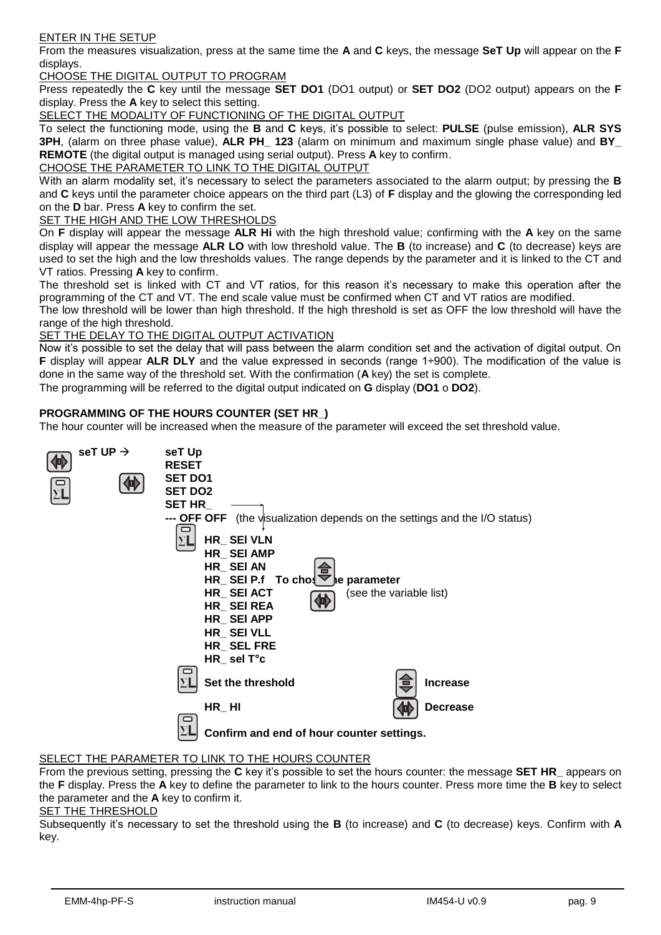#### ENTER IN THE SETUP

From the measures visualization, press at the same time the **A** and **C** keys, the message **SeT Up** will appear on the **F** displays.

CHOOSE THE DIGITAL OUTPUT TO PROGRAM

Press repeatedly the **C** key until the message **SET DO1** (DO1 output) or **SET DO2** (DO2 output) appears on the **F** display. Press the **A** key to select this setting.

SELECT THE MODALITY OF FUNCTIONING OF THE DIGITAL OUTPUT

To select the functioning mode, using the **B** and **C** keys, it's possible to select: **PULSE** (pulse emission), **ALR SYS 3PH**, (alarm on three phase value), **ALR PH\_ 123** (alarm on minimum and maximum single phase value) and **BY\_ REMOTE** (the digital output is managed using serial output). Press **A** key to confirm.

CHOOSE THE PARAMETER TO LINK TO THE DIGITAL OUTPUT

With an alarm modality set, it's necessary to select the parameters associated to the alarm output; by pressing the **B** and **C** keys until the parameter choice appears on the third part (L3) of **F** display and the glowing the corresponding led on the **D** bar. Press **A** key to confirm the set.

SET THE HIGH AND THE LOW THRESHOLDS

On **F** display will appear the message **ALR Hi** with the high threshold value; confirming with the **A** key on the same display will appear the message **ALR LO** with low threshold value. The **B** (to increase) and **C** (to decrease) keys are used to set the high and the low thresholds values. The range depends by the parameter and it is linked to the CT and VT ratios. Pressing **A** key to confirm.

The threshold set is linked with CT and VT ratios, for this reason it's necessary to make this operation after the programming of the CT and VT. The end scale value must be confirmed when CT and VT ratios are modified.

The low threshold will be lower than high threshold. If the high threshold is set as OFF the low threshold will have the range of the high threshold.

SET THE DELAY TO THE DIGITAL OUTPUT ACTIVATION

Now it's possible to set the delay that will pass between the alarm condition set and the activation of digital output. On **F** display will appear **ALR DLY** and the value expressed in seconds (range 1÷900). The modification of the value is done in the same way of the threshold set. With the confirmation (**A** key) the set is complete.

The programming will be referred to the digital output indicated on **G** display (**DO1** o **DO2**).

## **PROGRAMMING OF THE HOURS COUNTER (SET HR\_)**

The hour counter will be increased when the measure of the parameter will exceed the set threshold value.



#### SELECT THE PARAMETER TO LINK TO THE HOURS COUNTER

From the previous setting, pressing the **C** key it's possible to set the hours counter: the message **SET HR\_** appears on the **F** display. Press the **A** key to define the parameter to link to the hours counter. Press more time the **B** key to select the parameter and the **A** key to confirm it.

#### SET THE THRESHOLD

Subsequently it's necessary to set the threshold using the **B** (to increase) and **C** (to decrease) keys. Confirm with **A** key.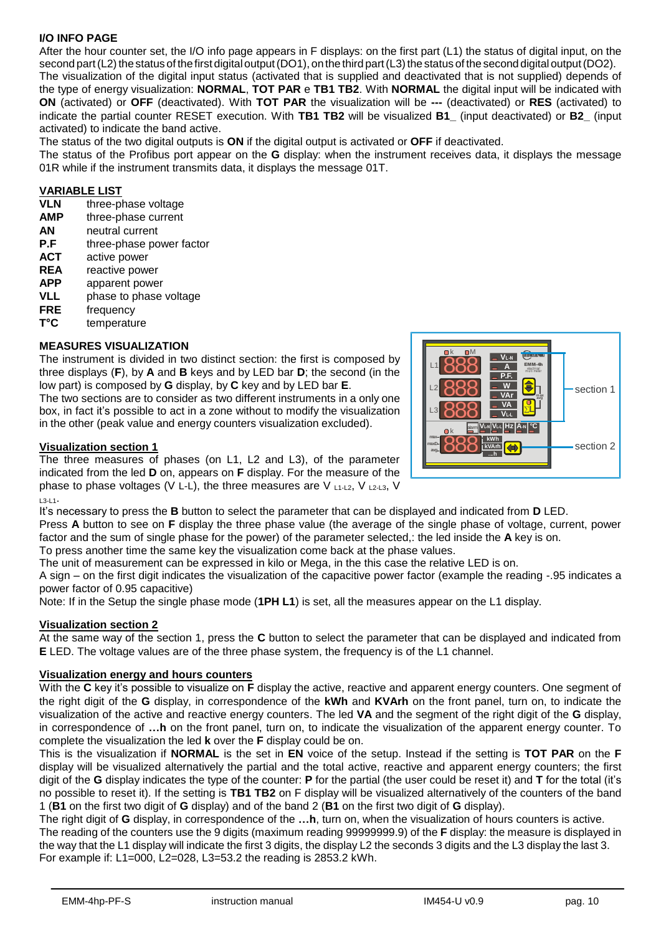# **I/O INFO PAGE**

After the hour counter set, the I/O info page appears in F displays: on the first part (L1) the status of digital input, on the second part (L2) the status of the first digital output (DO1), on the third part (L3) the status of the second digital output (DO2). The visualization of the digital input status (activated that is supplied and deactivated that is not supplied) depends of the type of energy visualization: **NORMAL**, **TOT PAR** e **TB1 TB2**. With **NORMAL** the digital input will be indicated with

**ON** (activated) or **OFF** (deactivated). With **TOT PAR** the visualization will be **---** (deactivated) or **RES** (activated) to indicate the partial counter RESET execution. With **TB1 TB2** will be visualized **B1\_** (input deactivated) or **B2\_** (input activated) to indicate the band active.

The status of the two digital outputs is **ON** if the digital output is activated or **OFF** if deactivated.

The status of the Profibus port appear on the **G** display: when the instrument receives data, it displays the message 01R while if the instrument transmits data, it displays the message 01T.

## **VARIABLE LIST**

- **VLN** three-phase voltage
- **AMP** three-phase current
- **AN** neutral current
- **P.F** three-phase power factor
- **ACT** active power
- **REA** reactive power
- **APP** apparent power
- **VLL** phase to phase voltage
- 
- **FRE** frequency<br> **T**°C temperatu temperature

## **MEASURES VISUALIZATION**

The instrument is divided in two distinct section: the first is composed by three displays (**F**), by **A** and **B** keys and by LED bar **D**; the second (in the low part) is composed by **G** display, by **C** key and by LED bar **E**.

The two sections are to consider as two different instruments in a only one box, in fact it's possible to act in a zone without to modify the visualization in the other (peak value and energy counters visualization excluded).

## **Visualization section 1**

The three measures of phases (on L1, L2 and L3), of the parameter indicated from the led **D** on, appears on **F** display. For the measure of the phase to phase voltages (V L-L), the three measures are V  $_{11\text{-}12}$ , V  $_{12\text{-}13}$ , V  $13-11$ .

It's necessary to press the **B** button to select the parameter that can be displayed and indicated from **D** LED. Press **A** button to see on **F** display the three phase value (the average of the single phase of voltage, current, power factor and the sum of single phase for the power) of the parameter selected,: the led inside the **A** key is on.

To press another time the same key the visualization come back at the phase values.

The unit of measurement can be expressed in kilo or Mega, in the this case the relative LED is on.

A sign – on the first digit indicates the visualization of the capacitive power factor (example the reading -.95 indicates a power factor of 0.95 capacitive)

Note: If in the Setup the single phase mode (**1PH L1**) is set, all the measures appear on the L1 display.

#### **Visualization section 2**

At the same way of the section 1, press the **C** button to select the parameter that can be displayed and indicated from **E** LED. The voltage values are of the three phase system, the frequency is of the L1 channel.

#### **Visualization energy and hours counters**

With the **C** key it's possible to visualize on **F** display the active, reactive and apparent energy counters. One segment of the right digit of the **G** display, in correspondence of the **kWh** and **KVArh** on the front panel, turn on, to indicate the visualization of the active and reactive energy counters. The led **VA** and the segment of the right digit of the **G** display, in correspondence of **…h** on the front panel, turn on, to indicate the visualization of the apparent energy counter. To complete the visualization the led **k** over the **F** display could be on.

This is the visualization if **NORMAL** is the set in **EN** voice of the setup. Instead if the setting is **TOT PAR** on the **F** display will be visualized alternatively the partial and the total active, reactive and apparent energy counters; the first digit of the **G** display indicates the type of the counter: **P** for the partial (the user could be reset it) and **T** for the total (it's no possible to reset it). If the setting is **TB1 TB2** on F display will be visualized alternatively of the counters of the band 1 (**B1** on the first two digit of **G** display) and of the band 2 (**B1** on the first two digit of **G** display).

The right digit of **G** display, in correspondence of the **…h**, turn on, when the visualization of hours counters is active. The reading of the counters use the 9 digits (maximum reading 99999999.9) of the **F** display: the measure is displayed in the way that the L1 display will indicate the first 3 digits, the display L2 the seconds 3 digits and the L3 display the last 3. For example if: L1=000, L2=028, L3=53.2 the reading is 2853.2 kWh.

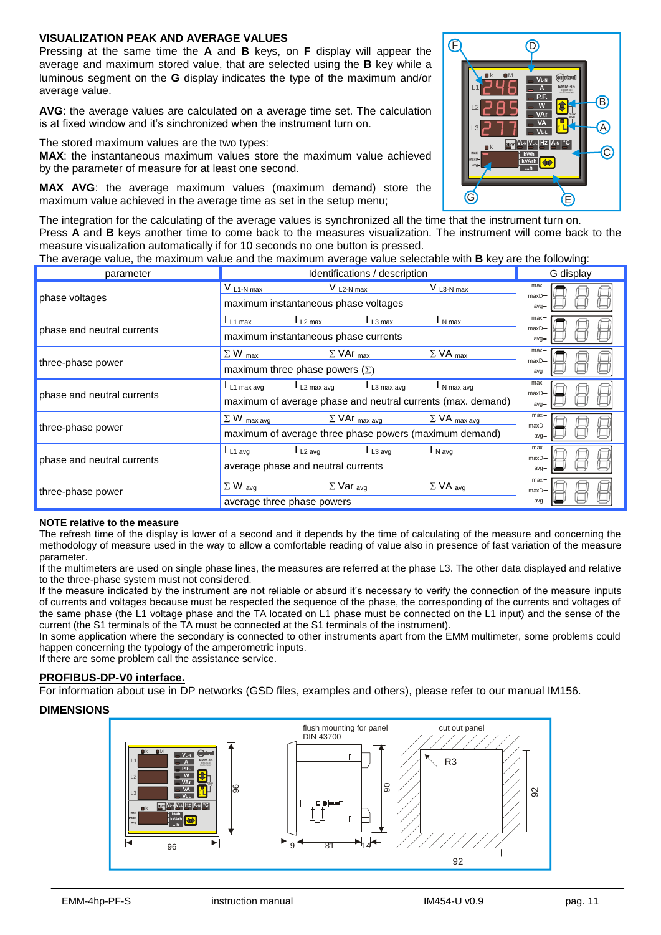### **VISUALIZATION PEAK AND AVERAGE VALUES**

Pressing at the same time the **A** and **B** keys, on **F** display will appear the average and maximum stored value, that are selected using the **B** key while a luminous segment on the **G** display indicates the type of the maximum and/or average value.

**AVG**: the average values are calculated on a average time set. The calculation is at fixed window and it's sinchronized when the instrument turn on.

The stored maximum values are the two types:

**MAX**: the instantaneous maximum values store the maximum value achieved by the parameter of measure for at least one second.

**MAX AVG**: the average maximum values (maximum demand) store the maximum value achieved in the average time as set in the setup menu;

The integration for the calculating of the average values is synchronized all the time that the instrument turn on. Press **A** and **B** keys another time to come back to the measures visualization. The instrument will come back to the measure visualization automatically if for 10 seconds no one button is pressed.

The average value, the maximum value and the maximum average value selectable with **B** key are the following:

| parameter                  | Identifications / description                                                                                                    | G display                     |
|----------------------------|----------------------------------------------------------------------------------------------------------------------------------|-------------------------------|
| phase voltages             | $V_{L3-N max}$<br>$V_{L2-N max}$<br>$V$ L <sub>1</sub> -N max<br>maximum instantaneous phase voltages                            | $max -$<br>$maxD-$<br>$avq-$  |
| phase and neutral currents | $L_{1}$ max<br>N max<br>$L2$ max<br>L <sub>3</sub> max<br>maximum instantaneous phase currents                                   | $max -$<br>$maxD -$<br>$avq-$ |
| three-phase power          | $\Sigma$ W max<br>$\Sigma$ VA max<br>$\Sigma$ VAr $_{max}$<br>maximum three phase powers $(\Sigma)$                              | $max -$<br>$maxD-$<br>$avq-$  |
| phase and neutral currents | L2 max avg<br>N max avg<br>$L_1$ max avg<br>L3 max avg<br>maximum of average phase and neutral currents (max. demand)            | max-<br>$maxD-$<br>$avq-$     |
| three-phase power          | $\Sigma$ W max avg<br>$\Sigma$ VA max avg<br>$\Sigma$ VAr $_{max}$ avg<br>maximum of average three phase powers (maximum demand) | $max -$<br>$maxD -$<br>$avq-$ |
| phase and neutral currents | $L_1$ avg<br>L <sub>2</sub> avg<br>I N avg<br>L <sub>3</sub> avg<br>average phase and neutral currents                           | $max -$<br>$maxD-$<br>$avq-$  |
| three-phase power          | $\Sigma$ W avg<br>$\Sigma$ Var <sub>avg</sub><br>$\Sigma$ VA avg<br>average three phase powers                                   | $max -$<br>$maxD -$<br>$avq-$ |

#### **NOTE relative to the measure**

The refresh time of the display is lower of a second and it depends by the time of calculating of the measure and concerning the methodology of measure used in the way to allow a comfortable reading of value also in presence of fast variation of the measure parameter.

If the multimeters are used on single phase lines, the measures are referred at the phase L3. The other data displayed and relative to the three-phase system must not considered.

If the measure indicated by the instrument are not reliable or absurd it's necessary to verify the connection of the measure inputs of currents and voltages because must be respected the sequence of the phase, the corresponding of the currents and voltages of the same phase (the L1 voltage phase and the TA located on L1 phase must be connected on the L1 input) and the sense of the current (the S1 terminals of the TA must be connected at the S1 terminals of the instrument).

In some application where the secondary is connected to other instruments apart from the EMM multimeter, some problems could happen concerning the typology of the amperometric inputs.

If there are some problem call the assistance service.

#### **PROFIBUS-DP-V0 interface.**

For information about use in DP networks (GSD files, examples and others), please refer to our manual IM156.

#### **DIMENSIONS**